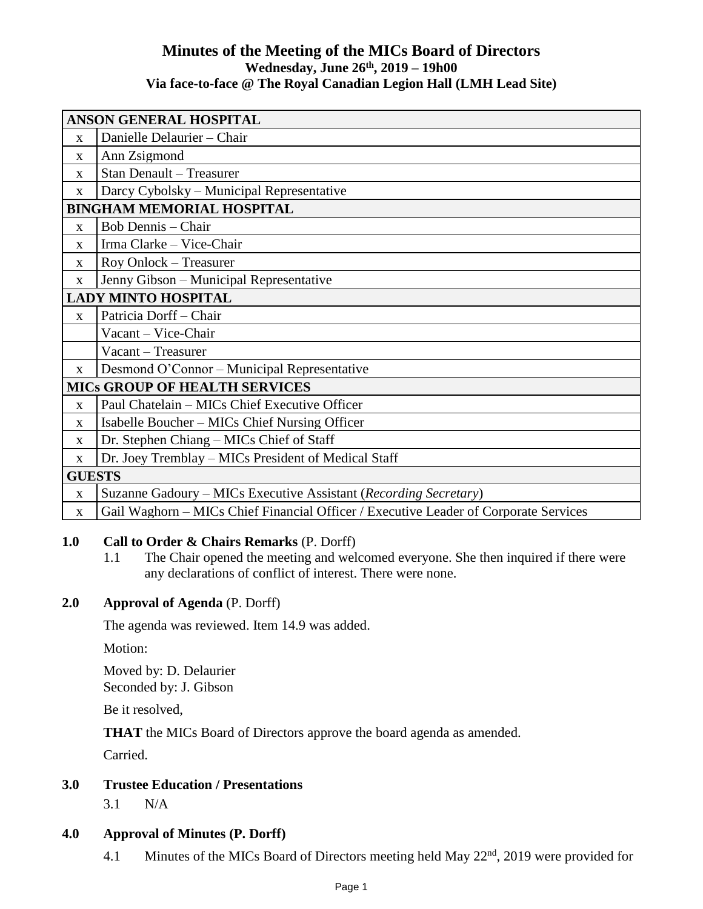# **Minutes of the Meeting of the MICs Board of Directors Wednesday, June 26th , 2019 – 19h00 Via face-to-face @ The Royal Canadian Legion Hall (LMH Lead Site)**

| <b>ANSON GENERAL HOSPITAL</b>        |                                                                                      |
|--------------------------------------|--------------------------------------------------------------------------------------|
| $\mathbf{X}$                         | Danielle Delaurier - Chair                                                           |
| $\mathbf{x}$                         | Ann Zsigmond                                                                         |
| X                                    | <b>Stan Denault - Treasurer</b>                                                      |
| $\mathbf{X}$                         | Darcy Cybolsky – Municipal Representative                                            |
| <b>BINGHAM MEMORIAL HOSPITAL</b>     |                                                                                      |
| $\mathbf{x}$                         | <b>Bob Dennis - Chair</b>                                                            |
| $\mathbf{X}$                         | Irma Clarke - Vice-Chair                                                             |
| X                                    | Roy Onlock - Treasurer                                                               |
| $\mathbf{X}$                         | Jenny Gibson - Municipal Representative                                              |
| <b>LADY MINTO HOSPITAL</b>           |                                                                                      |
| $\mathbf{X}$                         | Patricia Dorff - Chair                                                               |
|                                      | Vacant - Vice-Chair                                                                  |
|                                      | Vacant - Treasurer                                                                   |
| $\mathbf{x}$                         | Desmond O'Connor - Municipal Representative                                          |
| <b>MICS GROUP OF HEALTH SERVICES</b> |                                                                                      |
| $\mathbf{x}$                         | Paul Chatelain – MICs Chief Executive Officer                                        |
| X                                    | Isabelle Boucher – MICs Chief Nursing Officer                                        |
| X                                    | Dr. Stephen Chiang - MICs Chief of Staff                                             |
| $\mathbf{x}$                         | Dr. Joey Tremblay – MICs President of Medical Staff                                  |
| <b>GUESTS</b>                        |                                                                                      |
| X                                    | Suzanne Gadoury - MICs Executive Assistant (Recording Secretary)                     |
| X                                    | Gail Waghorn - MICs Chief Financial Officer / Executive Leader of Corporate Services |

# **1.0 Call to Order & Chairs Remarks** (P. Dorff)

1.1 The Chair opened the meeting and welcomed everyone. She then inquired if there were any declarations of conflict of interest. There were none.

# **2.0 Approval of Agenda** (P. Dorff)

The agenda was reviewed. Item 14.9 was added.

Motion:

Moved by: D. Delaurier Seconded by: J. Gibson

Be it resolved,

**THAT** the MICs Board of Directors approve the board agenda as amended.

Carried.

# **3.0 Trustee Education / Presentations**

3.1 N/A

# **4.0 Approval of Minutes (P. Dorff)**

4.1 Minutes of the MICs Board of Directors meeting held May 22<sup>nd</sup>, 2019 were provided for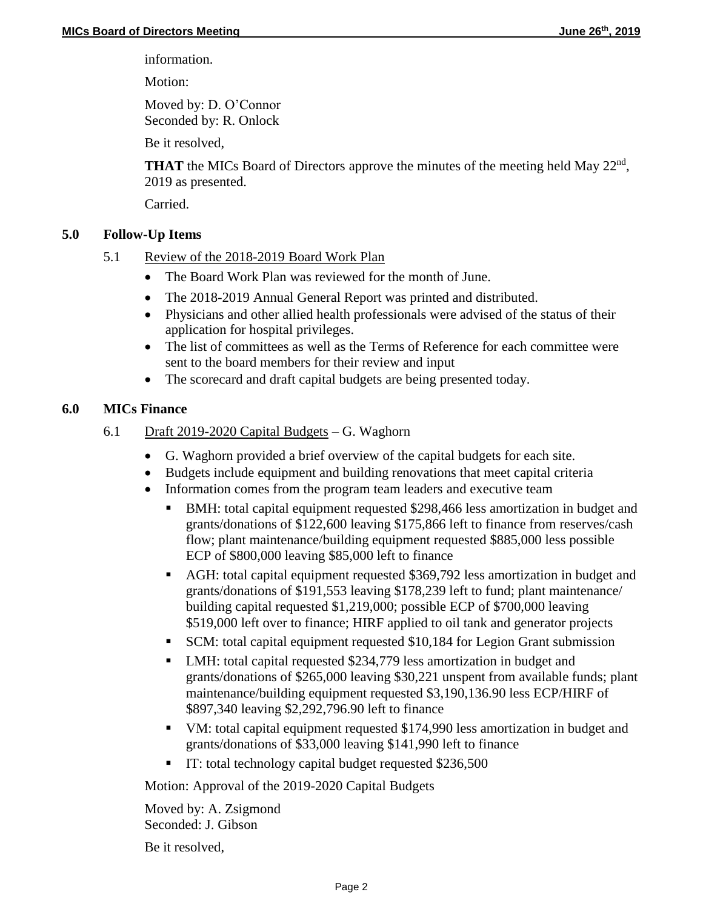information.

Motion:

Moved by: D. O'Connor Seconded by: R. Onlock

Be it resolved,

**THAT** the MICs Board of Directors approve the minutes of the meeting held May 22<sup>nd</sup>, 2019 as presented.

Carried.

# **5.0 Follow-Up Items**

- 5.1 Review of the 2018-2019 Board Work Plan
	- The Board Work Plan was reviewed for the month of June.
	- The 2018-2019 Annual General Report was printed and distributed.
	- Physicians and other allied health professionals were advised of the status of their application for hospital privileges.
	- The list of committees as well as the Terms of Reference for each committee were sent to the board members for their review and input
	- The scorecard and draft capital budgets are being presented today.

# **6.0 MICs Finance**

- 6.1 Draft 2019-2020 Capital Budgets G. Waghorn
	- G. Waghorn provided a brief overview of the capital budgets for each site.
	- Budgets include equipment and building renovations that meet capital criteria
	- Information comes from the program team leaders and executive team
		- BMH: total capital equipment requested \$298,466 less amortization in budget and grants/donations of \$122,600 leaving \$175,866 left to finance from reserves/cash flow; plant maintenance/building equipment requested \$885,000 less possible ECP of \$800,000 leaving \$85,000 left to finance
		- AGH: total capital equipment requested \$369,792 less amortization in budget and grants/donations of \$191,553 leaving \$178,239 left to fund; plant maintenance/ building capital requested \$1,219,000; possible ECP of \$700,000 leaving \$519,000 left over to finance; HIRF applied to oil tank and generator projects
		- SCM: total capital equipment requested \$10,184 for Legion Grant submission
		- LMH: total capital requested \$234,779 less amortization in budget and grants/donations of \$265,000 leaving \$30,221 unspent from available funds; plant maintenance/building equipment requested \$3,190,136.90 less ECP/HIRF of \$897,340 leaving \$2,292,796.90 left to finance
		- VM: total capital equipment requested \$174,990 less amortization in budget and grants/donations of \$33,000 leaving \$141,990 left to finance
		- IT: total technology capital budget requested \$236,500

Motion: Approval of the 2019-2020 Capital Budgets

Moved by: A. Zsigmond Seconded: J. Gibson

Be it resolved,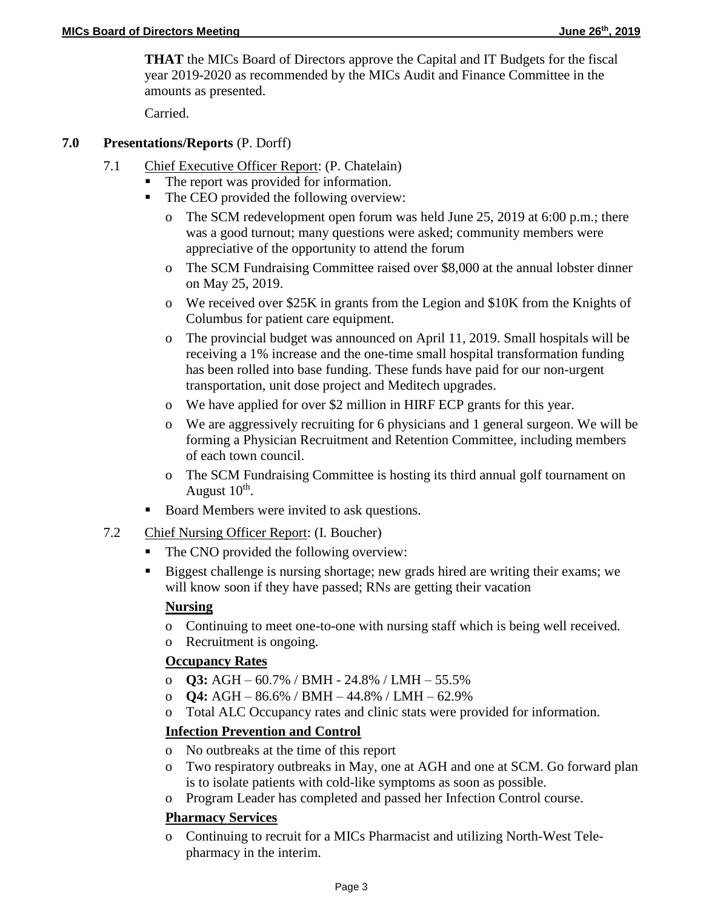**THAT** the MICs Board of Directors approve the Capital and IT Budgets for the fiscal year 2019-2020 as recommended by the MICs Audit and Finance Committee in the amounts as presented.

Carried.

## **7.0 Presentations/Reports** (P. Dorff)

- 7.1 Chief Executive Officer Report: (P. Chatelain)
	- The report was provided for information.
	- The CEO provided the following overview:
		- o The SCM redevelopment open forum was held June 25, 2019 at 6:00 p.m.; there was a good turnout; many questions were asked; community members were appreciative of the opportunity to attend the forum
		- o The SCM Fundraising Committee raised over \$8,000 at the annual lobster dinner on May 25, 2019.
		- o We received over \$25K in grants from the Legion and \$10K from the Knights of Columbus for patient care equipment.
		- o The provincial budget was announced on April 11, 2019. Small hospitals will be receiving a 1% increase and the one-time small hospital transformation funding has been rolled into base funding. These funds have paid for our non-urgent transportation, unit dose project and Meditech upgrades.
		- o We have applied for over \$2 million in HIRF ECP grants for this year.
		- o We are aggressively recruiting for 6 physicians and 1 general surgeon. We will be forming a Physician Recruitment and Retention Committee, including members of each town council.
		- o The SCM Fundraising Committee is hosting its third annual golf tournament on August  $10^{\text{th}}$ .
	- Board Members were invited to ask questions.
- 7.2 Chief Nursing Officer Report: (I. Boucher)
	- The CNO provided the following overview:
	- Biggest challenge is nursing shortage; new grads hired are writing their exams; we will know soon if they have passed; RNs are getting their vacation

# **Nursing**

- o Continuing to meet one-to-one with nursing staff which is being well received.
- o Recruitment is ongoing.

# **Occupancy Rates**

- o **Q3:** AGH 60.7% / BMH 24.8% / LMH 55.5%
- o **Q4:** AGH 86.6% / BMH 44.8% / LMH 62.9%
- o Total ALC Occupancy rates and clinic stats were provided for information.

# **Infection Prevention and Control**

- o No outbreaks at the time of this report
- o Two respiratory outbreaks in May, one at AGH and one at SCM. Go forward plan is to isolate patients with cold-like symptoms as soon as possible.
- o Program Leader has completed and passed her Infection Control course.

# **Pharmacy Services**

o Continuing to recruit for a MICs Pharmacist and utilizing North-West Telepharmacy in the interim.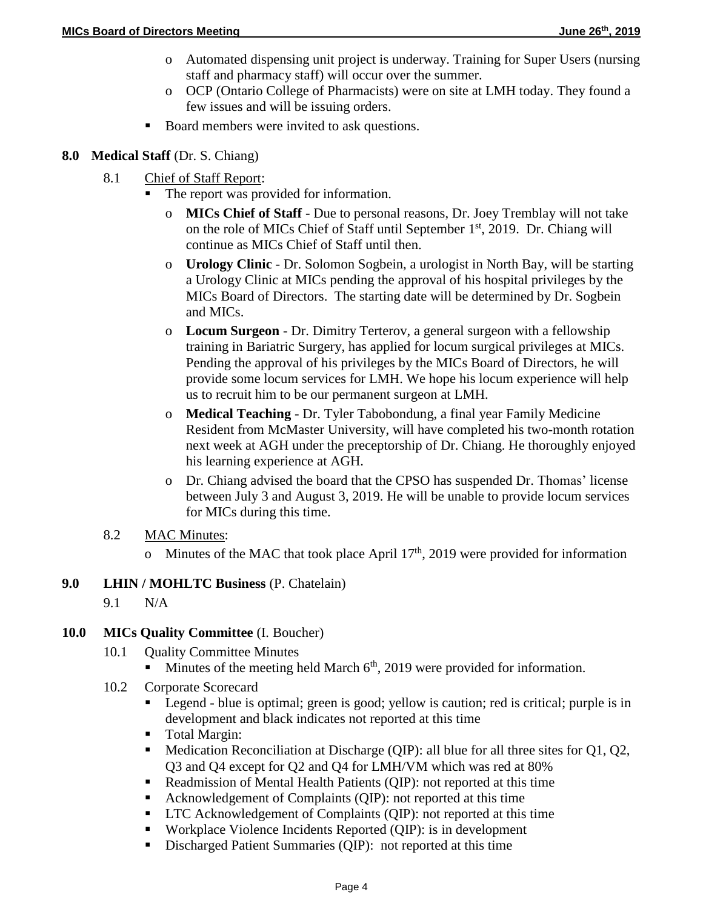- o Automated dispensing unit project is underway. Training for Super Users (nursing staff and pharmacy staff) will occur over the summer.
- o OCP (Ontario College of Pharmacists) were on site at LMH today. They found a few issues and will be issuing orders.
- Board members were invited to ask questions.

## **8.0 Medical Staff** (Dr. S. Chiang)

- 8.1 Chief of Staff Report:
	- The report was provided for information.
		- o **MICs Chief of Staff** Due to personal reasons, Dr. Joey Tremblay will not take on the role of MICs Chief of Staff until September 1<sup>st</sup>, 2019. Dr. Chiang will continue as MICs Chief of Staff until then.
		- o **Urology Clinic** Dr. Solomon Sogbein, a urologist in North Bay, will be starting a Urology Clinic at MICs pending the approval of his hospital privileges by the MICs Board of Directors. The starting date will be determined by Dr. Sogbein and MICs.
		- o **Locum Surgeon** Dr. Dimitry Terterov, a general surgeon with a fellowship training in Bariatric Surgery, has applied for locum surgical privileges at MICs. Pending the approval of his privileges by the MICs Board of Directors, he will provide some locum services for LMH. We hope his locum experience will help us to recruit him to be our permanent surgeon at LMH.
		- o **Medical Teaching** Dr. Tyler Tabobondung, a final year Family Medicine Resident from McMaster University, will have completed his two-month rotation next week at AGH under the preceptorship of Dr. Chiang. He thoroughly enjoyed his learning experience at AGH.
		- o Dr. Chiang advised the board that the CPSO has suspended Dr. Thomas' license between July 3 and August 3, 2019. He will be unable to provide locum services for MICs during this time.
- 8.2 MAC Minutes:
	- o Minutes of the MAC that took place April  $17<sup>th</sup>$ , 2019 were provided for information
- **9.0 LHIN / MOHLTC Business** (P. Chatelain)
	- 9.1 N/A
- **10.0 MICs Quality Committee** (I. Boucher)
	- 10.1 Quality Committee Minutes
		- Minutes of the meeting held March  $6<sup>th</sup>$ , 2019 were provided for information.
	- 10.2 Corporate Scorecard
		- Legend blue is optimal; green is good; yellow is caution; red is critical; purple is in development and black indicates not reported at this time
		- **Total Margin:**
		- $\blacksquare$  Medication Reconciliation at Discharge (QIP): all blue for all three sites for Q1, Q2, Q3 and Q4 except for Q2 and Q4 for LMH/VM which was red at 80%
		- Readmission of Mental Health Patients (QIP): not reported at this time
		- Acknowledgement of Complaints (QIP): not reported at this time
		- **LTC** Acknowledgement of Complaints (QIP): not reported at this time
		- Workplace Violence Incidents Reported (QIP): is in development
		- Discharged Patient Summaries (QIP): not reported at this time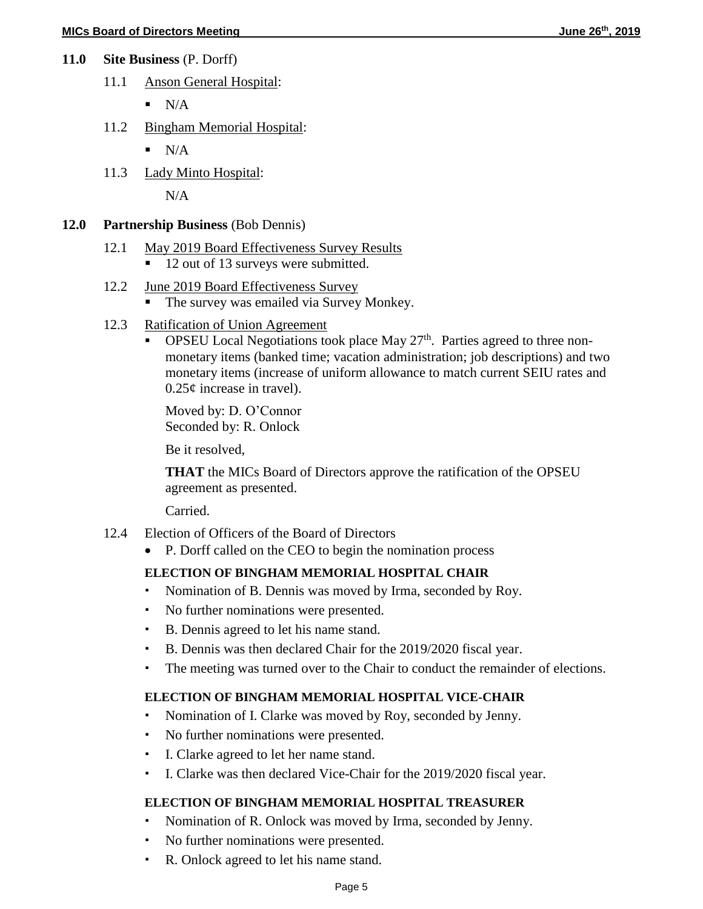- **11.0 Site Business** (P. Dorff)
	- 11.1 Anson General Hospital:
		- $\blacksquare$  N/A
	- 11.2 Bingham Memorial Hospital:
		- $\blacksquare$  N/A
	- 11.3 Lady Minto Hospital:

N/A

### **12.0 Partnership Business** (Bob Dennis)

### 12.1 May 2019 Board Effectiveness Survey Results

12 out of 13 surveys were submitted.

### 12.2 June 2019 Board Effectiveness Survey

- The survey was emailed via Survey Monkey.
- 12.3 Ratification of Union Agreement
	- **OPSEU** Local Negotiations took place May  $27<sup>th</sup>$ . Parties agreed to three nonmonetary items (banked time; vacation administration; job descriptions) and two monetary items (increase of uniform allowance to match current SEIU rates and 0.25¢ increase in travel).

Moved by: D. O'Connor Seconded by: R. Onlock

Be it resolved,

**THAT** the MICs Board of Directors approve the ratification of the OPSEU agreement as presented.

Carried.

- 12.4 Election of Officers of the Board of Directors
	- P. Dorff called on the CEO to begin the nomination process

### **ELECTION OF BINGHAM MEMORIAL HOSPITAL CHAIR**

- Nomination of B. Dennis was moved by Irma, seconded by Roy.
- No further nominations were presented.
- B. Dennis agreed to let his name stand.
- B. Dennis was then declared Chair for the 2019/2020 fiscal year.
- The meeting was turned over to the Chair to conduct the remainder of elections.

### **ELECTION OF BINGHAM MEMORIAL HOSPITAL VICE-CHAIR**

- Nomination of I. Clarke was moved by Roy, seconded by Jenny.
- No further nominations were presented.
- I. Clarke agreed to let her name stand.
- I. Clarke was then declared Vice-Chair for the 2019/2020 fiscal year.

### **ELECTION OF BINGHAM MEMORIAL HOSPITAL TREASURER**

- Nomination of R. Onlock was moved by Irma, seconded by Jenny.
- No further nominations were presented.
- R. Onlock agreed to let his name stand.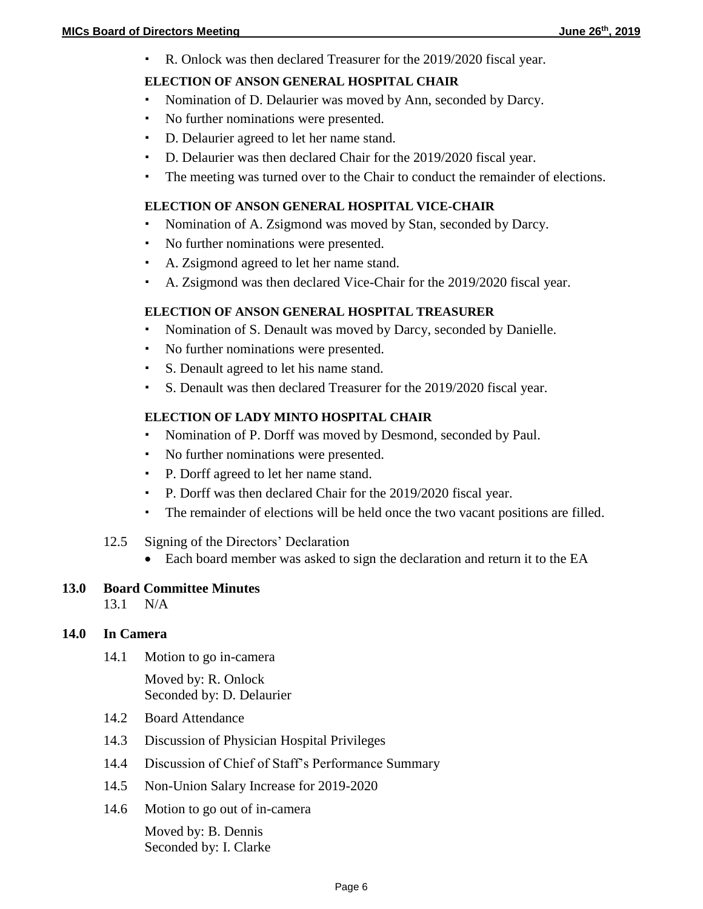R. Onlock was then declared Treasurer for the 2019/2020 fiscal year.

### **ELECTION OF ANSON GENERAL HOSPITAL CHAIR**

- Nomination of D. Delaurier was moved by Ann, seconded by Darcy.
- No further nominations were presented.
- D. Delaurier agreed to let her name stand.
- D. Delaurier was then declared Chair for the 2019/2020 fiscal year.
- The meeting was turned over to the Chair to conduct the remainder of elections.

#### **ELECTION OF ANSON GENERAL HOSPITAL VICE-CHAIR**

- Nomination of A. Zsigmond was moved by Stan, seconded by Darcy.
- No further nominations were presented.
- A. Zsigmond agreed to let her name stand.
- A. Zsigmond was then declared Vice-Chair for the 2019/2020 fiscal year.

#### **ELECTION OF ANSON GENERAL HOSPITAL TREASURER**

- Nomination of S. Denault was moved by Darcy, seconded by Danielle.
- No further nominations were presented.
- S. Denault agreed to let his name stand.
- S. Denault was then declared Treasurer for the 2019/2020 fiscal year.

## **ELECTION OF LADY MINTO HOSPITAL CHAIR**

- Nomination of P. Dorff was moved by Desmond, seconded by Paul.
- No further nominations were presented.
- P. Dorff agreed to let her name stand.
- P. Dorff was then declared Chair for the 2019/2020 fiscal year.
- The remainder of elections will be held once the two vacant positions are filled.
- 12.5 Signing of the Directors' Declaration
	- Each board member was asked to sign the declaration and return it to the EA

#### **13.0 Board Committee Minutes**

13.1 N/A

#### **14.0 In Camera**

14.1 Motion to go in-camera

Moved by: R. Onlock Seconded by: D. Delaurier

- 14.2 Board Attendance
- 14.3 Discussion of Physician Hospital Privileges
- 14.4 Discussion of Chief of Staff's Performance Summary
- 14.5 Non-Union Salary Increase for 2019-2020
- 14.6 Motion to go out of in-camera

Moved by: B. Dennis Seconded by: I. Clarke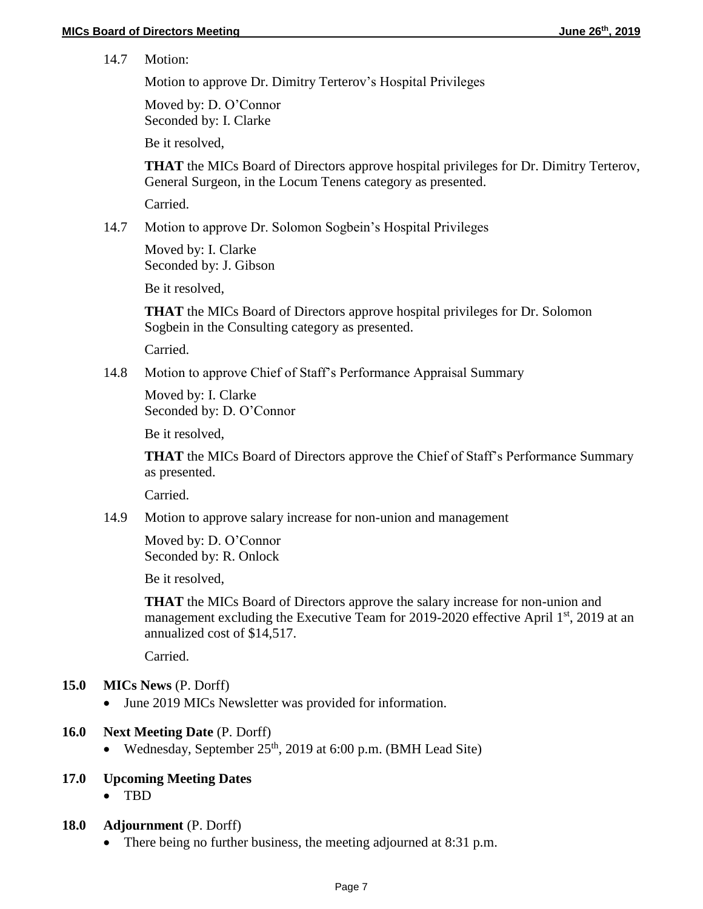14.7 Motion:

Motion to approve Dr. Dimitry Terterov's Hospital Privileges

Moved by: D. O'Connor Seconded by: I. Clarke

Be it resolved,

**THAT** the MICs Board of Directors approve hospital privileges for Dr. Dimitry Terterov, General Surgeon, in the Locum Tenens category as presented.

Carried.

14.7 Motion to approve Dr. Solomon Sogbein's Hospital Privileges

Moved by: I. Clarke Seconded by: J. Gibson

Be it resolved,

**THAT** the MICs Board of Directors approve hospital privileges for Dr. Solomon Sogbein in the Consulting category as presented.

Carried.

14.8 Motion to approve Chief of Staff's Performance Appraisal Summary

Moved by: I. Clarke Seconded by: D. O'Connor

Be it resolved,

**THAT** the MICs Board of Directors approve the Chief of Staff's Performance Summary as presented.

Carried.

14.9 Motion to approve salary increase for non-union and management

Moved by: D. O'Connor Seconded by: R. Onlock

Be it resolved,

**THAT** the MICs Board of Directors approve the salary increase for non-union and management excluding the Executive Team for 2019-2020 effective April 1<sup>st</sup>, 2019 at an annualized cost of \$14,517.

Carried.

- **15.0 MICs News** (P. Dorff)
	- June 2019 MICs Newsletter was provided for information.
- **16.0 Next Meeting Date** (P. Dorff)
	- Wednesday, September  $25<sup>th</sup>$ , 2019 at 6:00 p.m. (BMH Lead Site)

# **17.0 Upcoming Meeting Dates**

- TBD
- **18.0 Adjournment** (P. Dorff)
	- There being no further business, the meeting adjourned at 8:31 p.m.